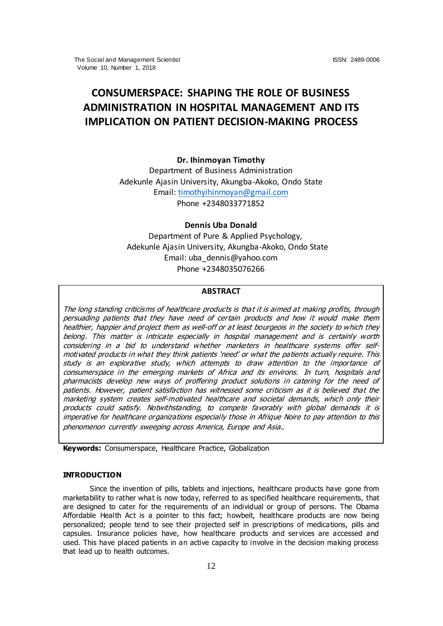# **CONSUMERSPACE: SHAPING THE ROLE OF BUSINESS ADMINISTRATION IN HOSPITAL MANAGEMENT AND ITS IMPLICATION ON PATIENT DECISION-MAKING PROCESS**

## **Dr. Ihinmoyan Timothy**

Department of Business Administration Adekunle Ajasin University, Akungba-Akoko, Ondo State Email[: timothyihinmoyan@gmail.com](mailto:timothyihinmoyan@gmail.com) Phone +2348033771852

# **Dennis Uba Donald**

 Department of Pure & Applied Psychology, Adekunle Ajasin University, Akungba-Akoko, Ondo State Email: uba\_dennis@yahoo.com Phone +2348035076266

#### **ABSTRACT**

The long standing criticisms of healthcare products is that it is aimed at making profits, through persuading patients that they have need of certain products and how it would make them healthier, happier and project them as well-off or at least bourgeois in the society to which they belong. This matter is intricate especially in hospital management and is certainly worth considering in a bid to understand whether marketers in healthcare systems offer selfmotivated products in what they think patients 'need' or what the patients actually require. This study is an explorative study, which attempts to draw attention to the importance of consumerspace in the emerging markets of Africa and its environs. In turn, hospitals and pharmacists develop new ways of proffering product solutions in catering for the need of patients. However, patient satisfaction has witnessed some criticism as it is believed that the marketing system creates self-motivated healthcare and societal demands, which only their products could satisfy. Notwithstanding, to compete favorably with global demands it is imperative for healthcare organizations especially those in Afrique Noire to pay attention to this phenomenon currently sweeping across America, Europe and Asia.*.*

**Keywords:** Consumerspace, Healthcare Practice, Globalization

## **INTRODUCTION**

Since the invention of pills, tablets and injections, healthcare products have gone from marketability to rather what is now today, referred to as specified healthcare requirements, that are designed to cater for the requirements of an individual or group of persons. The Obama Affordable Health Act is a pointer to this fact; howbeit, healthcare products are now being personalized; people tend to see their projected self in prescriptions of medications, pills and capsules. Insurance policies have, how healthcare products and services are accessed and used. This have placed patients in an active capacity to involve in the decision making process that lead up to health outcomes.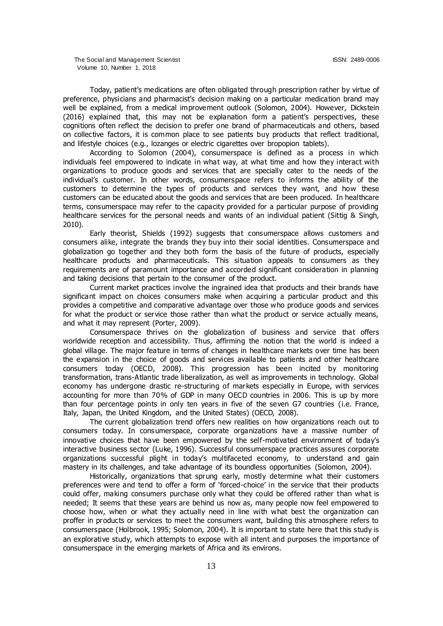Today, patient's medications are often obligated through prescription rather by virtue of preference, physicians and pharmacist's decision making on a particular medication brand may well be explained, from a medical improvement outlook (Solomon, 2004). However, Dickstein (2016) explained that, this may not be explanation form a patient's perspectives, these cognitions often reflect the decision to prefer one brand of pharmaceuticals and others, based on collective factors, it is common place to see patients buy products that reflect traditional, and lifestyle choices (e.g., lozanges or electric cigarettes over bropopion tablets).

According to Solomon (2004), consumerspace is defined as a process in which individuals feel empowered to indicate in what way, at what time and how they interact with organizations to produce goods and services that are specially cater to the needs of the individual's customer. In other words, consumerspace refers to informs the ability of the customers to determine the types of products and services they want, and how these customers can be educated about the goods and services that are been produced. In healthcare terms, consumerspace may refer to the capacity provided for a particular purpose of providing healthcare services for the personal needs and wants of an individual patient (Sittig & Singh, 2010).

Early theorist, Shields (1992) suggests that consumerspace allows customers and consumers alike, integrate the brands they buy into their social identities. Consumerspace and globalization go together and they both form the basis of the future of products, especially healthcare products and pharmaceuticals. This situation appeals to consumers as they requirements are of paramount importance and accorded significant consideration in planning and taking decisions that pertain to the consumer of the product.

Current market practices involve the ingrained idea that products and their brands have significant impact on choices consumers make when acquiring a particular product and this provides a competitive and comparative advantage over those who produce goods and services for what the product or service those rather than what the product or service actually means, and what it may represent (Porter, 2009).

Consumerspace thrives on the globalization of business and service that offers worldwide reception and accessibility. Thus, affirming the notion that the world is indeed a global village. The major feature in terms of changes in healthcare markets over time has been the expansion in the choice of goods and services available to patients and other healthcare consumers today (OECD, 2008). This progression has been incited by monitoring transformation, trans-Atlantic trade liberalization, as well as improvements in technology. Global economy has undergone drastic re-structuring of markets especially in Europe, with services accounting for more than 70% of GDP in many OECD countries in 2006. This is up by more than four percentage points in only ten years in five of the seven G7 countries (i.e. France, Italy, Japan, the United Kingdom, and the United States) (OECD, 2008).

The current globalization trend offers new realities on how organizations reach out to consumers today. In consumerspace, corporate organizations have a massive number of innovative choices that have been empowered by the self-motivated environment of today's interactive business sector (Luke, 1996). Successful consumerspace practices assures corporate organizations successful plight in today's multifaceted economy, to understand and gain mastery in its challenges, and take advantage of its boundless opportunities (Solomon, 2004).

Historically, organizations that sprung early, mostly determine what their customers preferences were and tend to offer a form of 'forced-choice' in the service that their products could offer, making consumers purchase only what they could be offered rather than what is needed; It seems that these years are behind us now as, many people now feel empowered to choose how, when or what they actually need in line with what best the organization can proffer in products or services to meet the consumers want, building this atmosphere refers to consumerspace (Holbrook, 1995; Solomon, 2004). It is important to state here that this study is an explorative study, which attempts to expose with all intent and purposes the importance of consumerspace in the emerging markets of Africa and its environs.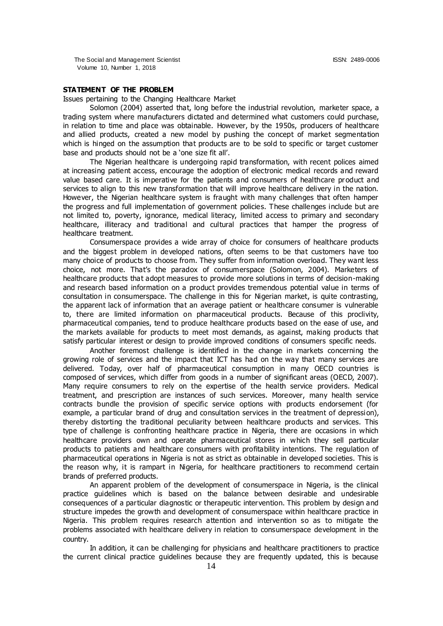The Social and Management Scientist ISSN: 2489-0006 Volume 10, Number 1, 2018

## **STATEMENT OF THE PROBLEM**

Issues pertaining to the Changing Healthcare Market

Solomon (2004) asserted that, long before the industrial revolution, marketer space, a trading system where manufacturers dictated and determined what customers could purchase, in relation to time and place was obtainable. However, by the 1950s, producers of healthcare and allied products, created a new model by pushing the concept of market segmentation which is hinged on the assumption that products are to be sold to specific or target customer base and products should not be a 'one size fit all'.

The Nigerian healthcare is undergoing rapid transformation, with recent polices aimed at increasing patient access, encourage the adoption of electronic medical records and reward value based care. It is imperative for the patients and consumers of healthcare product and services to align to this new transformation that will improve healthcare delivery in the nation. However, the Nigerian healthcare system is fraught with many challenges that often hamper the progress and full implementation of government policies. These challenges include but are not limited to, poverty, ignorance, medical literacy, limited access to primary and secondary healthcare, illiteracy and traditional and cultural practices that hamper the progress of healthcare treatment.

Consumerspace provides a wide array of choice for consumers of healthcare products and the biggest problem in developed nations, often seems to be that customers have too many choice of products to choose from. They suffer from information overload. They want less choice, not more. That's the paradox of consumerspace (Solomon, 2004). Marketers of healthcare products that adopt measures to provide more solutions in terms of decision-making and research based information on a product provides tremendous potential value in terms of consultation in consumerspace. The challenge in this for Nigerian market, is quite contrasting, the apparent lack of information that an average patient or healthcare consumer is vulnerable to, there are limited information on pharmaceutical products. Because of this proclivity, pharmaceutical companies, tend to produce healthcare products based on the ease of use, and the markets available for products to meet most demands, as against, making products that satisfy particular interest or design to provide improved conditions of consumers specific needs.

Another foremost challenge is identified in the change in markets concerning the growing role of services and the impact that ICT has had on the way that many services are delivered. Today, over half of pharmaceutical consumption in many OECD countries is composed of services, which differ from goods in a number of significant areas (OECD, 2007). Many require consumers to rely on the expertise of the health service providers. Medical treatment, and prescription are instances of such services. Moreover, many health service contracts bundle the provision of specific service options with products endorsement (for example, a particular brand of drug and consultation services in the treatment of depression), thereby distorting the traditional peculiarity between healthcare products and services. This type of challenge is confronting healthcare practice in Nigeria, there are occasions in which healthcare providers own and operate pharmaceutical stores in which they sell particular products to patients and healthcare consumers with profitability intentions. The regulation of pharmaceutical operations in Nigeria is not as strict as obtainable in developed societies. This is the reason why, it is rampart in Nigeria, for healthcare practitioners to recommend certain brands of preferred products.

An apparent problem of the development of consumerspace in Nigeria, is the clinical practice guidelines which is based on the balance between desirable and undesirable consequences of a particular diagnostic or therapeutic intervention. This problem by design and structure impedes the growth and development of consumerspace within healthcare practice in Nigeria. This problem requires research attention and intervention so as to mitigate the problems associated with healthcare delivery in relation to consumerspace development in the country.

In addition, it can be challenging for physicians and healthcare practitioners to practice the current clinical practice guidelines because they are frequently updated, this is because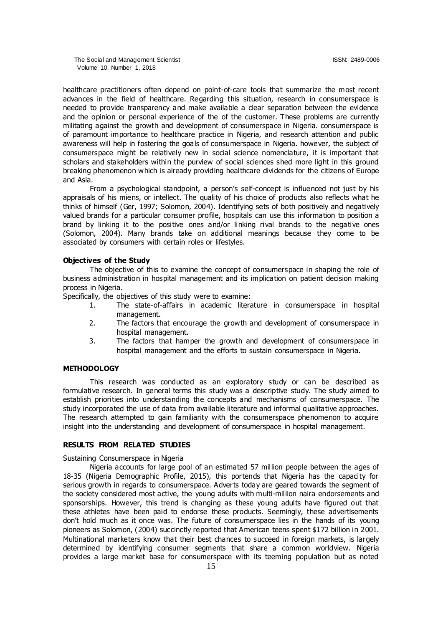healthcare practitioners often depend on point-of-care tools that summarize the most recent advances in the field of healthcare. Regarding this situation, research in consumerspace is needed to provide transparency and make available a clear separation between the evidence and the opinion or personal experience of the of the customer. These problems are currently militating against the growth and development of consumerspace in Nigeria. consumerspace is of paramount importance to healthcare practice in Nigeria, and research attention and public awareness will help in fostering the goals of consumerspace in Nigeria. however, the subject of consumerspace might be relatively new in social science nomenclature, it is important that scholars and stakeholders within the purview of social sciences shed more light in this ground breaking phenomenon which is already providing healthcare dividends for the citizens of Europe and Asia.

From a psychological standpoint, a person's self-concept is influenced not just by his appraisals of his miens, or intellect. The quality of his choice of products also reflects what he thinks of himself (Ger, 1997; Solomon, 2004). Identifying sets of both positively and negatively valued brands for a particular consumer profile, hospitals can use this information to position a brand by linking it to the positive ones and/or linking rival brands to the negative ones (Solomon, 2004). Many brands take on additional meanings because they come to be associated by consumers with certain roles or lifestyles.

#### **Objectives of the Study**

The objective of this to examine the concept of consumerspace in shaping the role of business administration in hospital management and its implication on patient decision making process in Nigeria.

Specifically, the objectives of this study were to examine:

- 1. The state-of-affairs in academic literature in consumerspace in hospital management.
- 2. The factors that encourage the growth and development of consumerspace in hospital management.
- 3. The factors that hamper the growth and development of consumerspace in hospital management and the efforts to sustain consumerspace in Nigeria.

## **METHODOLOGY**

This research was conducted as an exploratory study or can be described as formulative research. In general terms this study was a descriptive study. The study aimed to establish priorities into understanding the concepts and mechanisms of consumerspace. The study incorporated the use of data from available literature and informal qualitative approaches. The research attempted to gain familiarity with the consumerspace phenomenon to acquire insight into the understanding and development of consumerspace in hospital management.

### **RESULTS FROM RELATED STUDIES**

Sustaining Consumerspace in Nigeria

Nigeria accounts for large pool of an estimated 57 million people between the ages of 18-35 (Nigeria Demographic Profile, 2015), this portends that Nigeria has the capacity for serious growth in regards to consumerspace. Adverts today are geared towards the segment of the society considered most active, the young adults with multi-million naira endorsements and sponsorships. However, this trend is changing as these young adults have figured out that these athletes have been paid to endorse these products. Seemingly, these advertisements don't hold much as it once was. The future of consumerspace lies in the hands of its young pioneers as Solomon, (2004) succinctly reported that American teens spent \$172 billion in 2001. Multinational marketers know that their best chances to succeed in foreign markets, is largely determined by identifying consumer segments that share a common worldview. Nigeria provides a large market base for consumerspace with its teeming population but as noted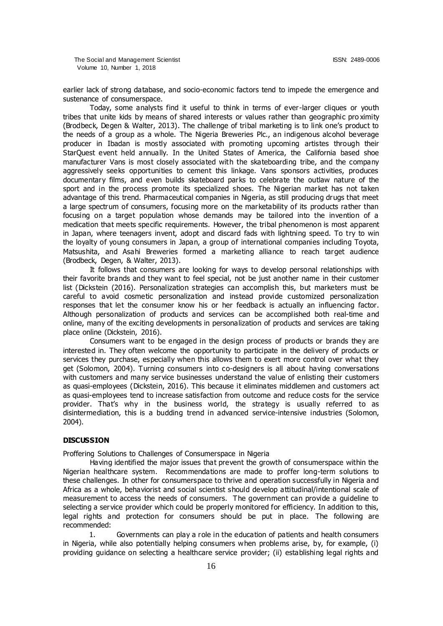earlier lack of strong database, and socio-economic factors tend to impede the emergence and sustenance of consumerspace.

Today, some analysts find it useful to think in terms of ever-larger cliques or youth tribes that unite kids by means of shared interests or values rather than geographic pro ximity (Brodbeck, Degen & Walter, 2013). The challenge of tribal marketing is to link one's product to the needs of a group as a whole. The Nigeria Breweries Plc., an indigenous alcohol beverage producer in Ibadan is mostly associated with promoting upcoming artistes through their StarQuest event held annually. In the United States of America, the California based shoe manufacturer Vans is most closely associated with the skateboarding tribe, and the company aggressively seeks opportunities to cement this linkage. Vans sponsors activities, produces documentary films, and even builds skateboard parks to celebrate the outlaw nature of the sport and in the process promote its specialized shoes. The Nigerian market has not taken advantage of this trend. Pharmaceutical companies in Nigeria, as still producing drugs that meet a large spectrum of consumers, focusing more on the marketability of its products rather than focusing on a target population whose demands may be tailored into the invention of a medication that meets specific requirements. However, the tribal phenomenon is most apparent in Japan, where teenagers invent, adopt and discard fads with lightning speed. To try to win the loyalty of young consumers in Japan, a group of international companies including Toyota, Matsushita, and Asahi Breweries formed a marketing alliance to reach target audience (Brodbeck, Degen, & Walter, 2013).

It follows that consumers are looking for ways to develop personal relationships with their favorite brands and they want to feel special, not be just another name in their customer list (Dickstein (2016). Personalization strategies can accomplish this, but marketers must be careful to avoid cosmetic personalization and instead provide customized personalization responses that let the consumer know his or her feedback is actually an influencing factor. Although personalization of products and services can be accomplished both real-time and online, many of the exciting developments in personalization of products and services are taking place online (Dickstein, 2016).

Consumers want to be engaged in the design process of products or brands they are interested in. They often welcome the opportunity to participate in the delivery of products or services they purchase, especially when this allows them to exert more control over what they get (Solomon, 2004). Turning consumers into co-designers is all about having conversations with customers and many service businesses understand the value of enlisting their customers as quasi-employees (Dickstein, 2016). This because it eliminates middlemen and customers act as quasi-employees tend to increase satisfaction from outcome and reduce costs for the service provider. That's why in the business world, the strategy is usually referred to as disintermediation, this is a budding trend in advanced service-intensive industries (Solomon, 2004).

#### **DISCUSSION**

Proffering Solutions to Challenges of Consumerspace in Nigeria

Having identified the major issues that prevent the growth of consumerspace within the Nigerian healthcare system. Recommendations are made to proffer long-term solutions to these challenges. In other for consumerspace to thrive and operation successfully in Nigeria and Africa as a whole, behaviorist and social scientist should develop attitudinal/intentional scale of measurement to access the needs of consumers. The government can provide a guideline to selecting a service provider which could be properly monitored for efficiency. In addition to this, legal rights and protection for consumers should be put in place. The following are recommended:

1. Governments can play a role in the education of patients and health consumers in Nigeria, while also potentially helping consumers when problems arise, by, for example, (i) providing guidance on selecting a healthcare service provider; (ii) establishing legal rights and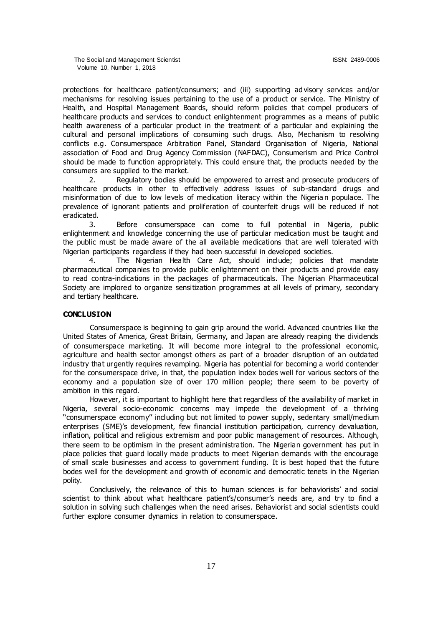protections for healthcare patient/consumers; and (iii) supporting ad visory services and/or mechanisms for resolving issues pertaining to the use of a product or service. The Ministry of Health, and Hospital Management Boards, should reform policies that compel producers of healthcare products and services to conduct enlightenment programmes as a means of public health awareness of a particular product in the treatment of a particular and explaining the cultural and personal implications of consuming such drugs. Also, Mechanism to resolving conflicts e.g. Consumerspace Arbitration Panel, Standard Organisation of Nigeria, National association of Food and Drug Agency Commission (NAFDAC), Consumerism and Price Control should be made to function appropriately. This could ensure that, the products needed by the consumers are supplied to the market.

2. Regulatory bodies should be empowered to arrest and prosecute producers of healthcare products in other to effectively address issues of sub-standard drugs and misinformation of due to low levels of medication literacy within the Nigeria n populace. The prevalence of ignorant patients and proliferation of counterfeit drugs will be reduced if not eradicated.

3. Before consumerspace can come to full potential in Nigeria, public enlightenment and knowledge concerning the use of particular medication must be taught and the public must be made aware of the all available medications that are well tolerated with Nigerian participants regardless if they had been successful in developed societies.

4. The Nigerian Health Care Act, should include; policies that mandate pharmaceutical companies to provide public enlightenment on their products and provide easy to read contra-indications in the packages of pharmaceuticals. The Nigerian Pharmaceutical Society are implored to organize sensitization programmes at all levels of primary, secondary and tertiary healthcare.

## **CONCLUSION**

Consumerspace is beginning to gain grip around the world. Advanced countries like the United States of America, Great Britain, Germany, and Japan are already reaping the dividends of consumerspace marketing. It will become more integral to the professional economic, agriculture and health sector amongst others as part of a broader disruption of an outdated industry that urgently requires revamping. Nigeria has potential for becoming a world contender for the consumerspace drive, in that, the population index bodes well for various sectors of the economy and a population size of over 170 million people; there seem to be poverty of ambition in this regard.

However, it is important to highlight here that regardless of the availability of market in Nigeria, several socio-economic concerns may impede the development of a thriving ''consumerspace economy'' including but not limited to power supply, sedentary small/medium enterprises (SME)'s development, few financial institution participation, currency devaluation, inflation, political and religious extremism and poor public management of resources. Although, there seem to be optimism in the present administration. The Nigerian government has put in place policies that guard locally made products to meet Nigerian demands with the encourage of small scale businesses and access to government funding. It is best hoped that the future bodes well for the development and growth of economic and democratic tenets in the Nigerian polity.

Conclusively, the relevance of this to human sciences is for behaviorists' and social scientist to think about what healthcare patient's/consumer's needs are, and try to find a solution in solving such challenges when the need arises. Behaviorist and social scientists could further explore consumer dynamics in relation to consumerspace.